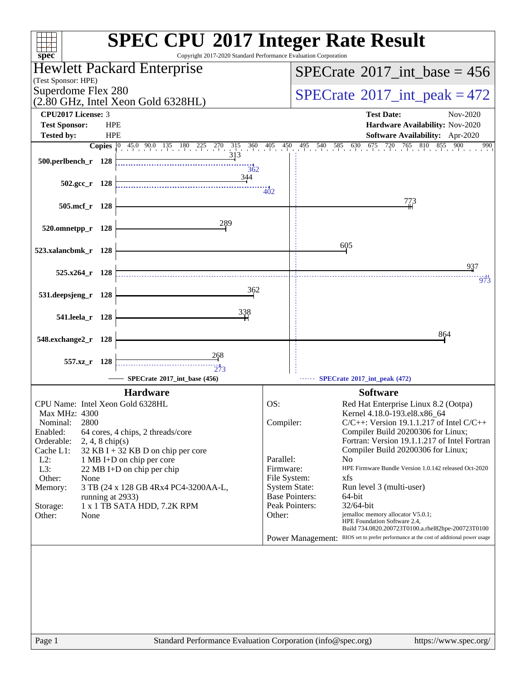| $spec^*$                                                                                                                                                                                                                                                                                                                                                                                                                                                            | <b>SPEC CPU®2017 Integer Rate Result</b><br>Copyright 2017-2020 Standard Performance Evaluation Corporation                                                                                                                                                                                                                                                                                                                                                                                                                                                                                                                                                                                                                                                               |
|---------------------------------------------------------------------------------------------------------------------------------------------------------------------------------------------------------------------------------------------------------------------------------------------------------------------------------------------------------------------------------------------------------------------------------------------------------------------|---------------------------------------------------------------------------------------------------------------------------------------------------------------------------------------------------------------------------------------------------------------------------------------------------------------------------------------------------------------------------------------------------------------------------------------------------------------------------------------------------------------------------------------------------------------------------------------------------------------------------------------------------------------------------------------------------------------------------------------------------------------------------|
| Hewlett Packard Enterprise                                                                                                                                                                                                                                                                                                                                                                                                                                          | $SPECTate$ <sup>®</sup> 2017_int_base = 456                                                                                                                                                                                                                                                                                                                                                                                                                                                                                                                                                                                                                                                                                                                               |
| (Test Sponsor: HPE)<br>Superdome Flex 280                                                                                                                                                                                                                                                                                                                                                                                                                           | $SPECrate^{\circ}2017\_int\_peak = 472$                                                                                                                                                                                                                                                                                                                                                                                                                                                                                                                                                                                                                                                                                                                                   |
| $(2.80 \text{ GHz}, \text{Intel Xeon Gold } 6328 \text{HL})$                                                                                                                                                                                                                                                                                                                                                                                                        |                                                                                                                                                                                                                                                                                                                                                                                                                                                                                                                                                                                                                                                                                                                                                                           |
| <b>CPU2017 License: 3</b><br><b>Test Sponsor:</b><br><b>HPE</b>                                                                                                                                                                                                                                                                                                                                                                                                     | <b>Test Date:</b><br>Nov-2020<br>Hardware Availability: Nov-2020                                                                                                                                                                                                                                                                                                                                                                                                                                                                                                                                                                                                                                                                                                          |
| <b>HPE</b><br><b>Tested by:</b>                                                                                                                                                                                                                                                                                                                                                                                                                                     | Software Availability: Apr-2020                                                                                                                                                                                                                                                                                                                                                                                                                                                                                                                                                                                                                                                                                                                                           |
| $45.0$ 90.0 135 180 225 270<br>315<br><b>Copies</b><br>$ 0\rangle$                                                                                                                                                                                                                                                                                                                                                                                                  | $360$ $405$ $450$<br>495 540 585 630 675 720 765 810 855<br>900<br>990                                                                                                                                                                                                                                                                                                                                                                                                                                                                                                                                                                                                                                                                                                    |
| 313<br>500.perlbench_r 128<br>362                                                                                                                                                                                                                                                                                                                                                                                                                                   |                                                                                                                                                                                                                                                                                                                                                                                                                                                                                                                                                                                                                                                                                                                                                                           |
| 344<br>502.gcc_r 128                                                                                                                                                                                                                                                                                                                                                                                                                                                | 402                                                                                                                                                                                                                                                                                                                                                                                                                                                                                                                                                                                                                                                                                                                                                                       |
| 505.mcf_r 128                                                                                                                                                                                                                                                                                                                                                                                                                                                       | 773                                                                                                                                                                                                                                                                                                                                                                                                                                                                                                                                                                                                                                                                                                                                                                       |
| 289<br>520.omnetpp_r 128                                                                                                                                                                                                                                                                                                                                                                                                                                            |                                                                                                                                                                                                                                                                                                                                                                                                                                                                                                                                                                                                                                                                                                                                                                           |
| 523.xalancbmk_r 128                                                                                                                                                                                                                                                                                                                                                                                                                                                 | 605                                                                                                                                                                                                                                                                                                                                                                                                                                                                                                                                                                                                                                                                                                                                                                       |
| $525.x264$ r 128                                                                                                                                                                                                                                                                                                                                                                                                                                                    | 937                                                                                                                                                                                                                                                                                                                                                                                                                                                                                                                                                                                                                                                                                                                                                                       |
| 362                                                                                                                                                                                                                                                                                                                                                                                                                                                                 | 973                                                                                                                                                                                                                                                                                                                                                                                                                                                                                                                                                                                                                                                                                                                                                                       |
| 531.deepsjeng_r<br>- 128<br><u>338</u>                                                                                                                                                                                                                                                                                                                                                                                                                              |                                                                                                                                                                                                                                                                                                                                                                                                                                                                                                                                                                                                                                                                                                                                                                           |
| 541.leela_r 128                                                                                                                                                                                                                                                                                                                                                                                                                                                     | 864                                                                                                                                                                                                                                                                                                                                                                                                                                                                                                                                                                                                                                                                                                                                                                       |
| 548.exchange2_r 128                                                                                                                                                                                                                                                                                                                                                                                                                                                 |                                                                                                                                                                                                                                                                                                                                                                                                                                                                                                                                                                                                                                                                                                                                                                           |
| 268<br>557.xz_r 128<br>$\frac{1}{273}$                                                                                                                                                                                                                                                                                                                                                                                                                              |                                                                                                                                                                                                                                                                                                                                                                                                                                                                                                                                                                                                                                                                                                                                                                           |
| SPECrate*2017_int_base (456)                                                                                                                                                                                                                                                                                                                                                                                                                                        | SPECrate*2017_int_peak (472)                                                                                                                                                                                                                                                                                                                                                                                                                                                                                                                                                                                                                                                                                                                                              |
| <b>Hardware</b><br>CPU Name: Intel Xeon Gold 6328HL<br>Max MHz: 4300<br>2800<br>Nominal:<br>Enabled:<br>64 cores, 4 chips, 2 threads/core<br>Orderable:<br>$2, 4, 8$ chip(s)<br>Cache L1:<br>$32$ KB I + 32 KB D on chip per core<br>$L2$ :<br>1 MB I+D on chip per core<br>L3:<br>22 MB I+D on chip per chip<br>Other:<br>None<br>Memory:<br>3 TB (24 x 128 GB 4Rx4 PC4-3200AA-L,<br>running at 2933)<br>1 x 1 TB SATA HDD, 7.2K RPM<br>Storage:<br>Other:<br>None | <b>Software</b><br>OS:<br>Red Hat Enterprise Linux 8.2 (Ootpa)<br>Kernel 4.18.0-193.el8.x86_64<br>$C/C++$ : Version 19.1.1.217 of Intel $C/C++$<br>Compiler:<br>Compiler Build 20200306 for Linux;<br>Fortran: Version 19.1.1.217 of Intel Fortran<br>Compiler Build 20200306 for Linux;<br>Parallel:<br>N <sub>0</sub><br>HPE Firmware Bundle Version 1.0.142 released Oct-2020<br>Firmware:<br>File System:<br>xfs<br><b>System State:</b><br>Run level 3 (multi-user)<br><b>Base Pointers:</b><br>64-bit<br>Peak Pointers:<br>32/64-bit<br>Other:<br>jemalloc memory allocator V5.0.1;<br>HPE Foundation Software 2.4,<br>Build 734.0820.200723T0100.a.rhel82hpe-200723T0100<br>Power Management: BIOS set to prefer performance at the cost of additional power usage |
| Page 1                                                                                                                                                                                                                                                                                                                                                                                                                                                              | Standard Performance Evaluation Corporation (info@spec.org)<br>https://www.spec.org/                                                                                                                                                                                                                                                                                                                                                                                                                                                                                                                                                                                                                                                                                      |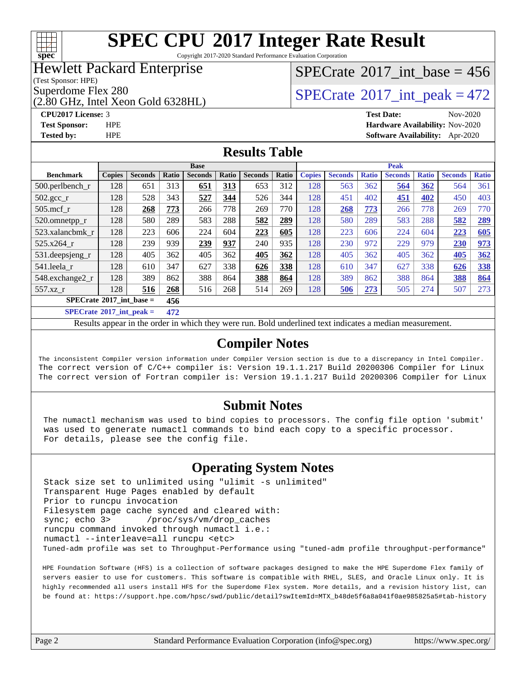

Copyright 2017-2020 Standard Performance Evaluation Corporation

### Hewlett Packard Enterprise

(Test Sponsor: HPE)

(2.80 GHz, Intel Xeon Gold 6328HL)

## $SPECrate$ <sup>®</sup>[2017\\_int\\_base =](http://www.spec.org/auto/cpu2017/Docs/result-fields.html#SPECrate2017intbase) 456

Superdome Flex 280<br>  $\angle$  [SPECrate](http://www.spec.org/auto/cpu2017/Docs/result-fields.html#SPECrate2017intpeak)®[2017\\_int\\_peak = 4](http://www.spec.org/auto/cpu2017/Docs/result-fields.html#SPECrate2017intpeak)72

#### **[CPU2017 License:](http://www.spec.org/auto/cpu2017/Docs/result-fields.html#CPU2017License)** 3 **[Test Date:](http://www.spec.org/auto/cpu2017/Docs/result-fields.html#TestDate)** Nov-2020 **[Test Sponsor:](http://www.spec.org/auto/cpu2017/Docs/result-fields.html#TestSponsor)** HPE **[Hardware Availability:](http://www.spec.org/auto/cpu2017/Docs/result-fields.html#HardwareAvailability)** Nov-2020 **[Tested by:](http://www.spec.org/auto/cpu2017/Docs/result-fields.html#Testedby)** HPE **[Software Availability:](http://www.spec.org/auto/cpu2017/Docs/result-fields.html#SoftwareAvailability)** Apr-2020

#### **[Results Table](http://www.spec.org/auto/cpu2017/Docs/result-fields.html#ResultsTable)**

|                                          | <b>Base</b>   |                |                |                |       |                | <b>Peak</b> |               |                |              |                |              |                |              |
|------------------------------------------|---------------|----------------|----------------|----------------|-------|----------------|-------------|---------------|----------------|--------------|----------------|--------------|----------------|--------------|
| <b>Benchmark</b>                         | <b>Copies</b> | <b>Seconds</b> | Ratio          | <b>Seconds</b> | Ratio | <b>Seconds</b> | Ratio       | <b>Copies</b> | <b>Seconds</b> | <b>Ratio</b> | <b>Seconds</b> | <b>Ratio</b> | <b>Seconds</b> | <b>Ratio</b> |
| $500.$ perlbench_r                       | 128           | 651            | 313            | 651            | 313   | 653            | 312         | 128           | 563            | 362          | 564            | 362          | 564            | 361          |
| $502.\text{gcc}$ _r                      | 128           | 528            | 343            | 527            | 344   | 526            | 344         | 128           | 451            | 402          | 451            | 402          | 450            | 403          |
| $505$ .mcf r                             | 128           | 268            | 773            | 266            | 778   | 269            | 770         | 128           | 268            | 773          | 266            | 778          | 269            | 770          |
| 520.omnetpp_r                            | 128           | 580            | 289            | 583            | 288   | 582            | 289         | 128           | 580            | 289          | 583            | 288          | 582            | <u>289</u>   |
| 523.xalancbmk r                          | 128           | 223            | 606            | 224            | 604   | 223            | 605         | 128           | 223            | 606          | 224            | 604          | 223            | 605          |
| 525.x264 r                               | 128           | 239            | 939            | 239            | 937   | 240            | 935         | 128           | 230            | 972          | 229            | 979          | 230            | 973          |
| 531.deepsjeng_r                          | 128           | 405            | 362            | 405            | 362   | 405            | 362         | 128           | 405            | 362          | 405            | 362          | 405            | 362          |
| 541.leela r                              | 128           | 610            | 347            | 627            | 338   | 626            | 338         | 128           | 610            | 347          | 627            | 338          | 626            | <b>338</b>   |
| 548.exchange2_r                          | 128           | 389            | 862            | 388            | 864   | 388            | 864         | 128           | 389            | 862          | 388            | 864          | 388            | 864          |
| 557.xz                                   | 128           | 516            | 268            | 516            | 268   | 514            | 269         | 128           | 506            | 273          | 505            | 274          | 507            | 273          |
| $SPECrate^{\circledcirc}2017$ int base = |               |                | 456            |                |       |                |             |               |                |              |                |              |                |              |
| $CDP2Q \rightarrow 0.04E + 1$            |               |                | $\overline{a}$ |                |       |                |             |               |                |              |                |              |                |              |

**[SPECrate](http://www.spec.org/auto/cpu2017/Docs/result-fields.html#SPECrate2017intpeak)[2017\\_int\\_peak =](http://www.spec.org/auto/cpu2017/Docs/result-fields.html#SPECrate2017intpeak) 472**

Results appear in the [order in which they were run](http://www.spec.org/auto/cpu2017/Docs/result-fields.html#RunOrder). Bold underlined text [indicates a median measurement](http://www.spec.org/auto/cpu2017/Docs/result-fields.html#Median).

#### **[Compiler Notes](http://www.spec.org/auto/cpu2017/Docs/result-fields.html#CompilerNotes)**

The inconsistent Compiler version information under Compiler Version section is due to a discrepancy in Intel Compiler. The correct version of C/C++ compiler is: Version 19.1.1.217 Build 20200306 Compiler for Linux The correct version of Fortran compiler is: Version 19.1.1.217 Build 20200306 Compiler for Linux

### **[Submit Notes](http://www.spec.org/auto/cpu2017/Docs/result-fields.html#SubmitNotes)**

 The numactl mechanism was used to bind copies to processors. The config file option 'submit' was used to generate numactl commands to bind each copy to a specific processor. For details, please see the config file.

### **[Operating System Notes](http://www.spec.org/auto/cpu2017/Docs/result-fields.html#OperatingSystemNotes)**

 Stack size set to unlimited using "ulimit -s unlimited" Transparent Huge Pages enabled by default Prior to runcpu invocation Filesystem page cache synced and cleared with: sync; echo 3> /proc/sys/vm/drop\_caches runcpu command invoked through numactl i.e.: numactl --interleave=all runcpu <etc> Tuned-adm profile was set to Throughput-Performance using "tuned-adm profile throughput-performance"

 HPE Foundation Software (HFS) is a collection of software packages designed to make the HPE Superdome Flex family of servers easier to use for customers. This software is compatible with RHEL, SLES, and Oracle Linux only. It is highly recommended all users install HFS for the Superdome Flex system. More details, and a revision history list, can be found at: [https://support.hpe.com/hpsc/swd/public/detail?swItemId=MTX\\_b48de5f6a8a041f0ae985825a5#tab-history](https://support.hpe.com/hpsc/swd/public/detail?swItemId=MTX_b48de5f6a8a041f0ae985825a5#tab-history)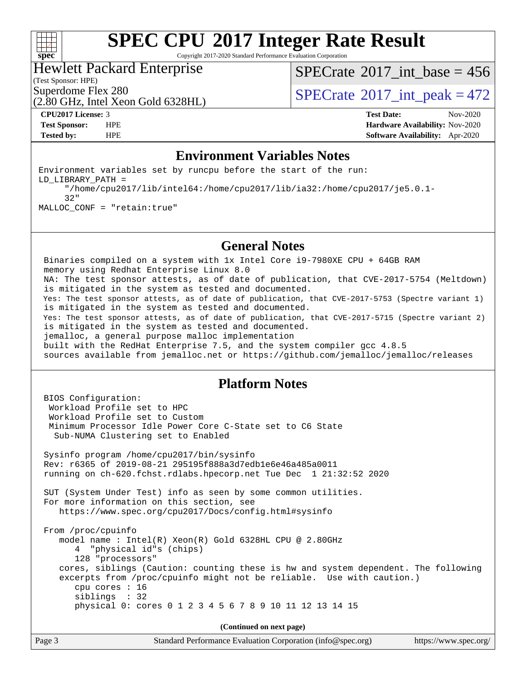

Copyright 2017-2020 Standard Performance Evaluation Corporation

#### Hewlett Packard Enterprise

 $SPECrate$ <sup>®</sup>[2017\\_int\\_base =](http://www.spec.org/auto/cpu2017/Docs/result-fields.html#SPECrate2017intbase) 456

(Test Sponsor: HPE)

Superdome Flex 280<br>  $\begin{array}{c}\n\text{SPECTate} \textcirc 2017\_int\_peak = 472 \\
\text{SPECTate} \textcirc 2017\_int\_peak = 472\n\end{array}$ 

## (2.80 GHz, Intel Xeon Gold 6328HL)

**[CPU2017 License:](http://www.spec.org/auto/cpu2017/Docs/result-fields.html#CPU2017License)** 3 **[Test Date:](http://www.spec.org/auto/cpu2017/Docs/result-fields.html#TestDate)** Nov-2020 **[Test Sponsor:](http://www.spec.org/auto/cpu2017/Docs/result-fields.html#TestSponsor)** HPE **[Hardware Availability:](http://www.spec.org/auto/cpu2017/Docs/result-fields.html#HardwareAvailability)** Nov-2020 **[Tested by:](http://www.spec.org/auto/cpu2017/Docs/result-fields.html#Testedby)** HPE **[Software Availability:](http://www.spec.org/auto/cpu2017/Docs/result-fields.html#SoftwareAvailability)** Apr-2020

### **[Environment Variables Notes](http://www.spec.org/auto/cpu2017/Docs/result-fields.html#EnvironmentVariablesNotes)**

Environment variables set by runcpu before the start of the run: LD\_LIBRARY\_PATH = "/home/cpu2017/lib/intel64:/home/cpu2017/lib/ia32:/home/cpu2017/je5.0.1- 32" MALLOC\_CONF = "retain:true"

#### **[General Notes](http://www.spec.org/auto/cpu2017/Docs/result-fields.html#GeneralNotes)**

 Binaries compiled on a system with 1x Intel Core i9-7980XE CPU + 64GB RAM memory using Redhat Enterprise Linux 8.0 NA: The test sponsor attests, as of date of publication, that CVE-2017-5754 (Meltdown) is mitigated in the system as tested and documented. Yes: The test sponsor attests, as of date of publication, that CVE-2017-5753 (Spectre variant 1) is mitigated in the system as tested and documented. Yes: The test sponsor attests, as of date of publication, that CVE-2017-5715 (Spectre variant 2) is mitigated in the system as tested and documented. jemalloc, a general purpose malloc implementation built with the RedHat Enterprise 7.5, and the system compiler gcc 4.8.5 sources available from jemalloc.net or<https://github.com/jemalloc/jemalloc/releases>

#### **[Platform Notes](http://www.spec.org/auto/cpu2017/Docs/result-fields.html#PlatformNotes)**

 BIOS Configuration: Workload Profile set to HPC Workload Profile set to Custom Minimum Processor Idle Power Core C-State set to C6 State Sub-NUMA Clustering set to Enabled Sysinfo program /home/cpu2017/bin/sysinfo Rev: r6365 of 2019-08-21 295195f888a3d7edb1e6e46a485a0011 running on ch-620.fchst.rdlabs.hpecorp.net Tue Dec 1 21:32:52 2020 SUT (System Under Test) info as seen by some common utilities. For more information on this section, see <https://www.spec.org/cpu2017/Docs/config.html#sysinfo> From /proc/cpuinfo model name : Intel(R) Xeon(R) Gold 6328HL CPU @ 2.80GHz 4 "physical id"s (chips) 128 "processors" cores, siblings (Caution: counting these is hw and system dependent. The following excerpts from /proc/cpuinfo might not be reliable. Use with caution.) cpu cores : 16 siblings : 32 physical 0: cores 0 1 2 3 4 5 6 7 8 9 10 11 12 13 14 15 **(Continued on next page)**

Page 3 Standard Performance Evaluation Corporation [\(info@spec.org\)](mailto:info@spec.org) <https://www.spec.org/>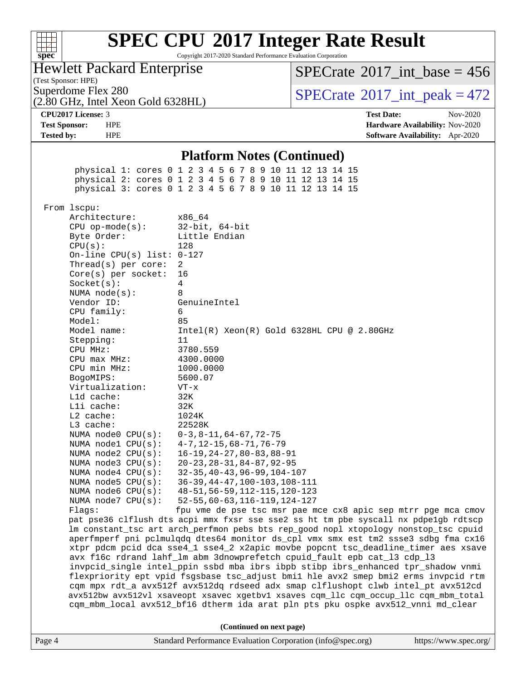| Q)<br>ŧ<br>ĉ.<br>U<br>Ų |  |  |  |  |  |  |
|-------------------------|--|--|--|--|--|--|

Copyright 2017-2020 Standard Performance Evaluation Corporation

Hewlett Packard Enterprise

(Test Sponsor: HPE)

(2.80 GHz, Intel Xeon Gold 6328HL)

 $SPECTate$ <sup>®</sup>[2017\\_int\\_base =](http://www.spec.org/auto/cpu2017/Docs/result-fields.html#SPECrate2017intbase) 456

Superdome Flex 280<br>  $\overline{SPECrate}$  $\overline{SPECrate}$  $\overline{SPECrate}$ <sup>®</sup>[2017\\_int\\_peak = 4](http://www.spec.org/auto/cpu2017/Docs/result-fields.html#SPECrate2017intpeak)72

**[CPU2017 License:](http://www.spec.org/auto/cpu2017/Docs/result-fields.html#CPU2017License)** 3 **[Test Date:](http://www.spec.org/auto/cpu2017/Docs/result-fields.html#TestDate)** Nov-2020 **[Test Sponsor:](http://www.spec.org/auto/cpu2017/Docs/result-fields.html#TestSponsor)** HPE **[Hardware Availability:](http://www.spec.org/auto/cpu2017/Docs/result-fields.html#HardwareAvailability)** Nov-2020 **[Tested by:](http://www.spec.org/auto/cpu2017/Docs/result-fields.html#Testedby)** HPE **[Software Availability:](http://www.spec.org/auto/cpu2017/Docs/result-fields.html#SoftwareAvailability)** Apr-2020

#### **[Platform Notes \(Continued\)](http://www.spec.org/auto/cpu2017/Docs/result-fields.html#PlatformNotes)**

 physical 1: cores 0 1 2 3 4 5 6 7 8 9 10 11 12 13 14 15 physical 2: cores 0 1 2 3 4 5 6 7 8 9 10 11 12 13 14 15 physical 3: cores 0 1 2 3 4 5 6 7 8 9 10 11 12 13 14 15 From lscpu: Architecture: x86\_64 CPU op-mode(s): 32-bit, 64-bit Byte Order: Little Endian CPU(s): 128 On-line CPU(s) list: 0-127 Thread(s) per core: 2 Core(s) per socket: 16 Socket(s): 4 NUMA node(s): 8 Vendor ID: GenuineIntel CPU family: 6 Model: 85 Model name: Intel(R) Xeon(R) Gold 6328HL CPU @ 2.80GHz Stepping: 11 CPU MHz: 3780.559 CPU max MHz: 4300.0000 CPU min MHz: 1000.0000 BogoMIPS: 5600.07 Virtualization: VT-x L1d cache: 32K L1i cache: 32K L2 cache: 1024K L3 cache: 22528K NUMA node0 CPU(s): 0-3,8-11,64-67,72-75 NUMA node1 CPU(s): 4-7,12-15,68-71,76-79 NUMA node2 CPU(s): 16-19,24-27,80-83,88-91 NUMA node3 CPU(s): 20-23,28-31,84-87,92-95 NUMA node4 CPU(s): 32-35,40-43,96-99,104-107 NUMA node5 CPU(s): 36-39,44-47,100-103,108-111 NUMA node6 CPU(s): 48-51,56-59,112-115,120-123 NUMA node7 CPU(s): 52-55,60-63,116-119,124-127 Flags: fpu vme de pse tsc msr pae mce cx8 apic sep mtrr pge mca cmov pat pse36 clflush dts acpi mmx fxsr sse sse2 ss ht tm pbe syscall nx pdpe1gb rdtscp lm constant\_tsc art arch\_perfmon pebs bts rep\_good nopl xtopology nonstop\_tsc cpuid aperfmperf pni pclmulqdq dtes64 monitor ds\_cpl vmx smx est tm2 ssse3 sdbg fma cx16 xtpr pdcm pcid dca sse4\_1 sse4\_2 x2apic movbe popcnt tsc\_deadline\_timer aes xsave avx f16c rdrand lahf\_lm abm 3dnowprefetch cpuid\_fault epb cat\_l3 cdp\_l3 invpcid\_single intel\_ppin ssbd mba ibrs ibpb stibp ibrs\_enhanced tpr\_shadow vnmi flexpriority ept vpid fsgsbase tsc\_adjust bmi1 hle avx2 smep bmi2 erms invpcid rtm cqm mpx rdt\_a avx512f avx512dq rdseed adx smap clflushopt clwb intel\_pt avx512cd avx512bw avx512vl xsaveopt xsavec xgetbv1 xsaves cqm\_llc cqm\_occup\_llc cqm\_mbm\_total cqm\_mbm\_local avx512\_bf16 dtherm ida arat pln pts pku ospke avx512\_vnni md\_clear **(Continued on next page)**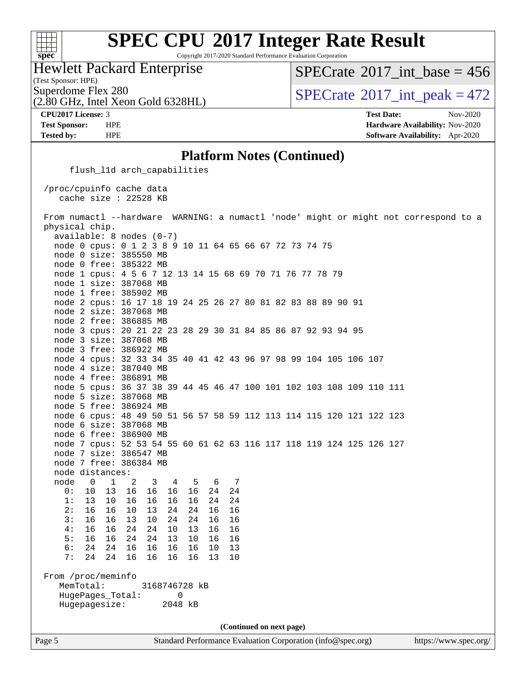#### **[spec](http://www.spec.org/)**

# **[SPEC CPU](http://www.spec.org/auto/cpu2017/Docs/result-fields.html#SPECCPU2017IntegerRateResult)[2017 Integer Rate Result](http://www.spec.org/auto/cpu2017/Docs/result-fields.html#SPECCPU2017IntegerRateResult)**

Copyright 2017-2020 Standard Performance Evaluation Corporation

Hewlett Packard Enterprise

 $SPECTate$ <sup>®</sup>[2017\\_int\\_base =](http://www.spec.org/auto/cpu2017/Docs/result-fields.html#SPECrate2017intbase) 456

(Test Sponsor: HPE)

(2.80 GHz, Intel Xeon Gold 6328HL)

Superdome Flex 280<br>  $SPECTate$ <sup>®</sup> [2017\\_int\\_peak = 4](http://www.spec.org/auto/cpu2017/Docs/result-fields.html#SPECrate2017intpeak)72

**[CPU2017 License:](http://www.spec.org/auto/cpu2017/Docs/result-fields.html#CPU2017License)** 3 **[Test Date:](http://www.spec.org/auto/cpu2017/Docs/result-fields.html#TestDate)** Nov-2020 **[Test Sponsor:](http://www.spec.org/auto/cpu2017/Docs/result-fields.html#TestSponsor)** HPE **[Hardware Availability:](http://www.spec.org/auto/cpu2017/Docs/result-fields.html#HardwareAvailability)** Nov-2020 **[Tested by:](http://www.spec.org/auto/cpu2017/Docs/result-fields.html#Testedby)** HPE **[Software Availability:](http://www.spec.org/auto/cpu2017/Docs/result-fields.html#SoftwareAvailability)** Apr-2020

#### **[Platform Notes \(Continued\)](http://www.spec.org/auto/cpu2017/Docs/result-fields.html#PlatformNotes)**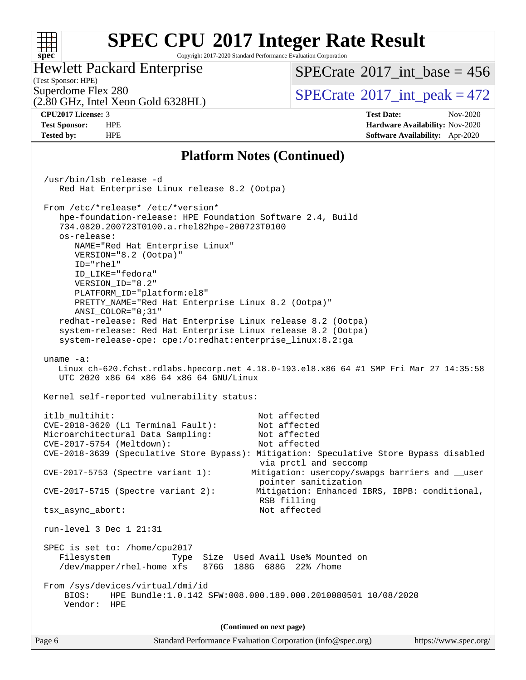#### **[SPEC CPU](http://www.spec.org/auto/cpu2017/Docs/result-fields.html#SPECCPU2017IntegerRateResult)[2017 Integer Rate Result](http://www.spec.org/auto/cpu2017/Docs/result-fields.html#SPECCPU2017IntegerRateResult)**  $+\ +$ **[spec](http://www.spec.org/)** Copyright 2017-2020 Standard Performance Evaluation Corporation Hewlett Packard Enterprise  $SPECTate$ <sup>®</sup>[2017\\_int\\_base =](http://www.spec.org/auto/cpu2017/Docs/result-fields.html#SPECrate2017intbase) 456 (Test Sponsor: HPE) Superdome Flex 280<br>  $\begin{array}{c}\n\text{SPECTate} \textcirc 2017\_int\_peak = 472 \\
\text{SPECTate} \textcirc 2017\_int\_peak = 472\n\end{array}$ (2.80 GHz, Intel Xeon Gold 6328HL) **[CPU2017 License:](http://www.spec.org/auto/cpu2017/Docs/result-fields.html#CPU2017License)** 3 **[Test Date:](http://www.spec.org/auto/cpu2017/Docs/result-fields.html#TestDate)** Nov-2020 **[Test Sponsor:](http://www.spec.org/auto/cpu2017/Docs/result-fields.html#TestSponsor)** HPE **[Hardware Availability:](http://www.spec.org/auto/cpu2017/Docs/result-fields.html#HardwareAvailability)** Nov-2020 **[Tested by:](http://www.spec.org/auto/cpu2017/Docs/result-fields.html#Testedby)** HPE **[Software Availability:](http://www.spec.org/auto/cpu2017/Docs/result-fields.html#SoftwareAvailability)** Apr-2020 **[Platform Notes \(Continued\)](http://www.spec.org/auto/cpu2017/Docs/result-fields.html#PlatformNotes)** /usr/bin/lsb\_release -d Red Hat Enterprise Linux release 8.2 (Ootpa) From /etc/\*release\* /etc/\*version\* hpe-foundation-release: HPE Foundation Software 2.4, Build 734.0820.200723T0100.a.rhel82hpe-200723T0100

 NAME="Red Hat Enterprise Linux" VERSION="8.2 (Ootpa)" ID="rhel" ID\_LIKE="fedora" VERSION\_ID="8.2" PLATFORM\_ID="platform:el8" PRETTY\_NAME="Red Hat Enterprise Linux 8.2 (Ootpa)" ANSI\_COLOR="0;31"

 redhat-release: Red Hat Enterprise Linux release 8.2 (Ootpa) system-release: Red Hat Enterprise Linux release 8.2 (Ootpa) system-release-cpe: cpe:/o:redhat:enterprise\_linux:8.2:ga

uname -a:

os-release:

 Linux ch-620.fchst.rdlabs.hpecorp.net 4.18.0-193.el8.x86\_64 #1 SMP Fri Mar 27 14:35:58 UTC 2020 x86\_64 x86\_64 x86\_64 GNU/Linux

Kernel self-reported vulnerability status:

```
itlb_multihit: Not affected
 CVE-2018-3620 (L1 Terminal Fault): Not affected
 Microarchitectural Data Sampling: Not affected
 CVE-2017-5754 (Meltdown): Not affected
 CVE-2018-3639 (Speculative Store Bypass): Mitigation: Speculative Store Bypass disabled
                                      via prctl and seccomp
 CVE-2017-5753 (Spectre variant 1): Mitigation: usercopy/swapgs barriers and __user
                                      pointer sanitization
 CVE-2017-5715 (Spectre variant 2): Mitigation: Enhanced IBRS, IBPB: conditional,
                                      RSB filling
 tsx_async_abort: Not affected
 run-level 3 Dec 1 21:31
 SPEC is set to: /home/cpu2017
   Filesystem Type Size Used Avail Use% Mounted on
   /dev/mapper/rhel-home xfs 876G 188G 688G 22% /home
 From /sys/devices/virtual/dmi/id
    BIOS: HPE Bundle:1.0.142 SFW:008.000.189.000.2010080501 10/08/2020
    Vendor: HPE
                               (Continued on next page)
```
Page 6 Standard Performance Evaluation Corporation [\(info@spec.org\)](mailto:info@spec.org) <https://www.spec.org/>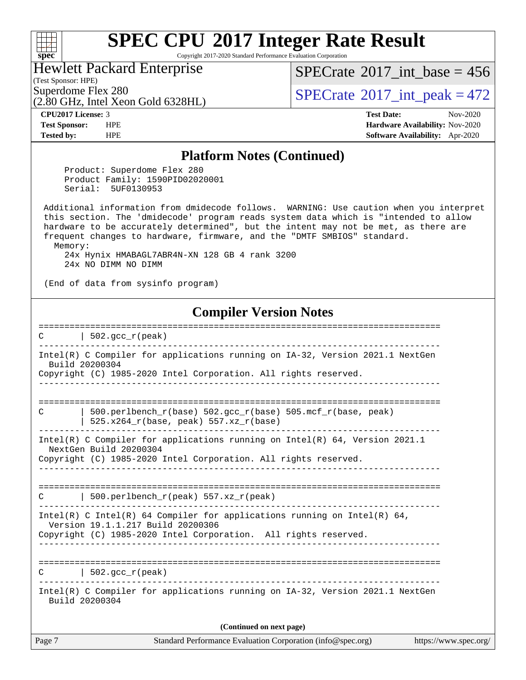Copyright 2017-2020 Standard Performance Evaluation Corporation

#### Hewlett Packard Enterprise

(Test Sponsor: HPE)

**[spec](http://www.spec.org/)**

 $SPECrate$ <sup>®</sup>[2017\\_int\\_base =](http://www.spec.org/auto/cpu2017/Docs/result-fields.html#SPECrate2017intbase) 456

(2.80 GHz, Intel Xeon Gold 6328HL)

Superdome Flex 280<br>  $\angle$  [SPECrate](http://www.spec.org/auto/cpu2017/Docs/result-fields.html#SPECrate2017intpeak)®[2017\\_int\\_peak = 4](http://www.spec.org/auto/cpu2017/Docs/result-fields.html#SPECrate2017intpeak)72

**[CPU2017 License:](http://www.spec.org/auto/cpu2017/Docs/result-fields.html#CPU2017License)** 3 **[Test Date:](http://www.spec.org/auto/cpu2017/Docs/result-fields.html#TestDate)** Nov-2020 **[Test Sponsor:](http://www.spec.org/auto/cpu2017/Docs/result-fields.html#TestSponsor)** HPE **[Hardware Availability:](http://www.spec.org/auto/cpu2017/Docs/result-fields.html#HardwareAvailability)** Nov-2020 **[Tested by:](http://www.spec.org/auto/cpu2017/Docs/result-fields.html#Testedby)** HPE **[Software Availability:](http://www.spec.org/auto/cpu2017/Docs/result-fields.html#SoftwareAvailability)** Apr-2020

#### **[Platform Notes \(Continued\)](http://www.spec.org/auto/cpu2017/Docs/result-fields.html#PlatformNotes)**

 Product: Superdome Flex 280 Product Family: 1590PID02020001 Serial: 5UF0130953

 Additional information from dmidecode follows. WARNING: Use caution when you interpret this section. The 'dmidecode' program reads system data which is "intended to allow hardware to be accurately determined", but the intent may not be met, as there are frequent changes to hardware, firmware, and the "DMTF SMBIOS" standard. Memory:

 24x Hynix HMABAGL7ABR4N-XN 128 GB 4 rank 3200 24x NO DIMM NO DIMM

(End of data from sysinfo program)

#### **[Compiler Version Notes](http://www.spec.org/auto/cpu2017/Docs/result-fields.html#CompilerVersionNotes)**

Page 7 Standard Performance Evaluation Corporation [\(info@spec.org\)](mailto:info@spec.org) <https://www.spec.org/> ==============================================================================  $C \qquad \qquad \vert \quad 502.\text{gcc\_r}(\text{peak})$ ------------------------------------------------------------------------------ Intel(R) C Compiler for applications running on IA-32, Version 2021.1 NextGen Build 20200304 Copyright (C) 1985-2020 Intel Corporation. All rights reserved. ------------------------------------------------------------------------------ ============================================================================== C  $\vert$  500.perlbench\_r(base) 502.gcc\_r(base) 505.mcf\_r(base, peak)  $\frac{1}{1}$  525.x264\_r(base, peak) 557.xz\_r(base) ------------------------------------------------------------------------------ Intel(R) C Compiler for applications running on Intel(R) 64, Version 2021.1 NextGen Build 20200304 Copyright (C) 1985-2020 Intel Corporation. All rights reserved. ------------------------------------------------------------------------------ ==============================================================================  $C$  | 500.perlbench\_r(peak) 557.xz\_r(peak) ------------------------------------------------------------------------------ Intel(R) C Intel(R) 64 Compiler for applications running on Intel(R) 64, Version 19.1.1.217 Build 20200306 Copyright (C) 1985-2020 Intel Corporation. All rights reserved. ------------------------------------------------------------------------------ ==============================================================================  $C \qquad \qquad$  | 502.gcc  $r(\text{peak})$ ------------------------------------------------------------------------------ Intel(R) C Compiler for applications running on IA-32, Version 2021.1 NextGen Build 20200304 **(Continued on next page)**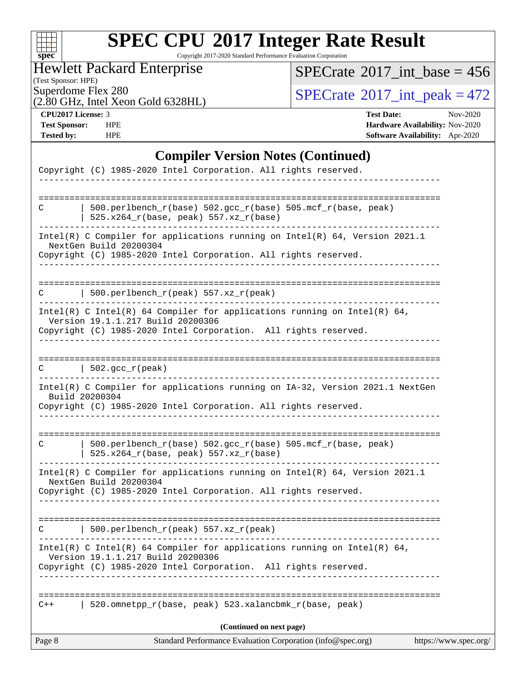| s:<br>e<br>П<br>X. |  |  |  |  |  |  |
|--------------------|--|--|--|--|--|--|

Copyright 2017-2020 Standard Performance Evaluation Corporation

Hewlett Packard Enterprise

 $SPECrate$ <sup>®</sup>[2017\\_int\\_base =](http://www.spec.org/auto/cpu2017/Docs/result-fields.html#SPECrate2017intbase) 456

(Test Sponsor: HPE) (2.80 GHz, Intel Xeon Gold 6328HL)

 $SPECTate$ <sup>®</sup>[2017\\_int\\_peak = 4](http://www.spec.org/auto/cpu2017/Docs/result-fields.html#SPECrate2017intpeak)72

**[CPU2017 License:](http://www.spec.org/auto/cpu2017/Docs/result-fields.html#CPU2017License)** 3 **[Test Date:](http://www.spec.org/auto/cpu2017/Docs/result-fields.html#TestDate)** Nov-2020 **[Test Sponsor:](http://www.spec.org/auto/cpu2017/Docs/result-fields.html#TestSponsor)** HPE **[Hardware Availability:](http://www.spec.org/auto/cpu2017/Docs/result-fields.html#HardwareAvailability)** Nov-2020 **[Tested by:](http://www.spec.org/auto/cpu2017/Docs/result-fields.html#Testedby)** HPE **[Software Availability:](http://www.spec.org/auto/cpu2017/Docs/result-fields.html#SoftwareAvailability)** Apr-2020

#### **[Compiler Version Notes \(Continued\)](http://www.spec.org/auto/cpu2017/Docs/result-fields.html#CompilerVersionNotes)**

| Page 8 | Standard Performance Evaluation Corporation (info@spec.org)                                                                                                                      | https://www.spec.org/ |
|--------|----------------------------------------------------------------------------------------------------------------------------------------------------------------------------------|-----------------------|
|        | (Continued on next page)                                                                                                                                                         |                       |
| $C++$  | 520.omnetpp_r(base, peak) 523.xalancbmk_r(base, peak)                                                                                                                            |                       |
|        | ___________________________                                                                                                                                                      |                       |
|        | Intel(R) C Intel(R) 64 Compiler for applications running on Intel(R) 64,<br>Version 19.1.1.217 Build 20200306<br>Copyright (C) 1985-2020 Intel Corporation. All rights reserved. |                       |
|        | 500.perlbench_r(peak) $557.xz_r(peak)$                                                                                                                                           |                       |
|        | Copyright (C) 1985-2020 Intel Corporation. All rights reserved.                                                                                                                  |                       |
|        | Intel(R) C Compiler for applications running on Intel(R) 64, Version 2021.1<br>NextGen Build 20200304                                                                            |                       |
| C      | 500.perlbench_r(base) 502.gcc_r(base) 505.mcf_r(base, peak)<br>525.x264_r(base, peak) 557.xz_r(base)                                                                             |                       |
|        | Intel(R) C Compiler for applications running on IA-32, Version 2021.1 NextGen<br>Build 20200304<br>Copyright (C) 1985-2020 Intel Corporation. All rights reserved.               |                       |
| C      | $\vert$ 502.gcc_r(peak)                                                                                                                                                          |                       |
|        | Copyright (C) 1985-2020 Intel Corporation. All rights reserved.                                                                                                                  |                       |
|        | Intel(R) C Intel(R) 64 Compiler for applications running on Intel(R) 64,<br>Version 19.1.1.217 Build 20200306                                                                    |                       |
|        | 500.perlbench_r(peak) $557. xz_r$ (peak)                                                                                                                                         |                       |
|        | Intel(R) C Compiler for applications running on Intel(R) 64, Version 2021.1<br>NextGen Build 20200304<br>Copyright (C) 1985-2020 Intel Corporation. All rights reserved.         |                       |
| C      | 500.perlbench_r(base) 502.gcc_r(base) 505.mcf_r(base, peak)<br>525.x264_r(base, peak) 557.xz_r(base)                                                                             |                       |
|        |                                                                                                                                                                                  |                       |
|        | Copyright (C) 1985-2020 Intel Corporation. All rights reserved.                                                                                                                  |                       |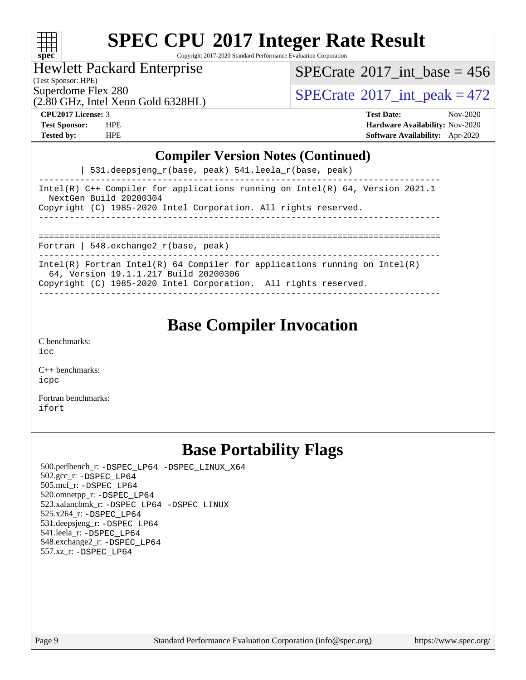| ÷ | S.<br>оe |  |  |  |  |  |
|---|----------|--|--|--|--|--|

Copyright 2017-2020 Standard Performance Evaluation Corporation

Hewlett Packard Enterprise

 $SPECrate$ <sup>®</sup>[2017\\_int\\_base =](http://www.spec.org/auto/cpu2017/Docs/result-fields.html#SPECrate2017intbase) 456

(Test Sponsor: HPE)

(2.80 GHz, Intel Xeon Gold 6328HL)

Superdome Flex 280<br>  $\begin{array}{c}\n\text{SPECTate} \textcirc 2017\_int\_peak = 472 \\
\text{SPECTate} \textcirc 2017\_int\_peak = 472\n\end{array}$ 

**[CPU2017 License:](http://www.spec.org/auto/cpu2017/Docs/result-fields.html#CPU2017License)** 3 **[Test Date:](http://www.spec.org/auto/cpu2017/Docs/result-fields.html#TestDate)** Nov-2020 **[Test Sponsor:](http://www.spec.org/auto/cpu2017/Docs/result-fields.html#TestSponsor)** HPE **[Hardware Availability:](http://www.spec.org/auto/cpu2017/Docs/result-fields.html#HardwareAvailability)** Nov-2020 **[Tested by:](http://www.spec.org/auto/cpu2017/Docs/result-fields.html#Testedby)** HPE **[Software Availability:](http://www.spec.org/auto/cpu2017/Docs/result-fields.html#SoftwareAvailability)** Apr-2020

#### **[Compiler Version Notes \(Continued\)](http://www.spec.org/auto/cpu2017/Docs/result-fields.html#CompilerVersionNotes)**

| 531.deepsjeng\_r(base, peak) 541.leela\_r(base, peak)

------------------------------------------------------------------------------ Intel(R) C++ Compiler for applications running on Intel(R) 64, Version 2021.1 NextGen Build 20200304 Copyright (C) 1985-2020 Intel Corporation. All rights reserved. ------------------------------------------------------------------------------ ==============================================================================

Fortran | 548.exchange2\_r(base, peak)

------------------------------------------------------------------------------ Intel(R) Fortran Intel(R) 64 Compiler for applications running on Intel(R)

64, Version 19.1.1.217 Build 20200306

Copyright (C) 1985-2020 Intel Corporation. All rights reserved. ------------------------------------------------------------------------------

### **[Base Compiler Invocation](http://www.spec.org/auto/cpu2017/Docs/result-fields.html#BaseCompilerInvocation)**

[C benchmarks](http://www.spec.org/auto/cpu2017/Docs/result-fields.html#Cbenchmarks): [icc](http://www.spec.org/cpu2017/results/res2020q4/cpu2017-20201207-24501.flags.html#user_CCbase_intel_icc_66fc1ee009f7361af1fbd72ca7dcefbb700085f36577c54f309893dd4ec40d12360134090235512931783d35fd58c0460139e722d5067c5574d8eaf2b3e37e92)

[C++ benchmarks:](http://www.spec.org/auto/cpu2017/Docs/result-fields.html#CXXbenchmarks) [icpc](http://www.spec.org/cpu2017/results/res2020q4/cpu2017-20201207-24501.flags.html#user_CXXbase_intel_icpc_c510b6838c7f56d33e37e94d029a35b4a7bccf4766a728ee175e80a419847e808290a9b78be685c44ab727ea267ec2f070ec5dc83b407c0218cded6866a35d07)

[Fortran benchmarks](http://www.spec.org/auto/cpu2017/Docs/result-fields.html#Fortranbenchmarks): [ifort](http://www.spec.org/cpu2017/results/res2020q4/cpu2017-20201207-24501.flags.html#user_FCbase_intel_ifort_8111460550e3ca792625aed983ce982f94888b8b503583aa7ba2b8303487b4d8a21a13e7191a45c5fd58ff318f48f9492884d4413fa793fd88dd292cad7027ca)

### **[Base Portability Flags](http://www.spec.org/auto/cpu2017/Docs/result-fields.html#BasePortabilityFlags)**

 500.perlbench\_r: [-DSPEC\\_LP64](http://www.spec.org/cpu2017/results/res2020q4/cpu2017-20201207-24501.flags.html#b500.perlbench_r_basePORTABILITY_DSPEC_LP64) [-DSPEC\\_LINUX\\_X64](http://www.spec.org/cpu2017/results/res2020q4/cpu2017-20201207-24501.flags.html#b500.perlbench_r_baseCPORTABILITY_DSPEC_LINUX_X64) 502.gcc\_r: [-DSPEC\\_LP64](http://www.spec.org/cpu2017/results/res2020q4/cpu2017-20201207-24501.flags.html#suite_basePORTABILITY502_gcc_r_DSPEC_LP64) 505.mcf\_r: [-DSPEC\\_LP64](http://www.spec.org/cpu2017/results/res2020q4/cpu2017-20201207-24501.flags.html#suite_basePORTABILITY505_mcf_r_DSPEC_LP64) 520.omnetpp\_r: [-DSPEC\\_LP64](http://www.spec.org/cpu2017/results/res2020q4/cpu2017-20201207-24501.flags.html#suite_basePORTABILITY520_omnetpp_r_DSPEC_LP64) 523.xalancbmk\_r: [-DSPEC\\_LP64](http://www.spec.org/cpu2017/results/res2020q4/cpu2017-20201207-24501.flags.html#suite_basePORTABILITY523_xalancbmk_r_DSPEC_LP64) [-DSPEC\\_LINUX](http://www.spec.org/cpu2017/results/res2020q4/cpu2017-20201207-24501.flags.html#b523.xalancbmk_r_baseCXXPORTABILITY_DSPEC_LINUX) 525.x264\_r: [-DSPEC\\_LP64](http://www.spec.org/cpu2017/results/res2020q4/cpu2017-20201207-24501.flags.html#suite_basePORTABILITY525_x264_r_DSPEC_LP64) 531.deepsjeng\_r: [-DSPEC\\_LP64](http://www.spec.org/cpu2017/results/res2020q4/cpu2017-20201207-24501.flags.html#suite_basePORTABILITY531_deepsjeng_r_DSPEC_LP64) 541.leela\_r: [-DSPEC\\_LP64](http://www.spec.org/cpu2017/results/res2020q4/cpu2017-20201207-24501.flags.html#suite_basePORTABILITY541_leela_r_DSPEC_LP64) 548.exchange2\_r: [-DSPEC\\_LP64](http://www.spec.org/cpu2017/results/res2020q4/cpu2017-20201207-24501.flags.html#suite_basePORTABILITY548_exchange2_r_DSPEC_LP64) 557.xz\_r: [-DSPEC\\_LP64](http://www.spec.org/cpu2017/results/res2020q4/cpu2017-20201207-24501.flags.html#suite_basePORTABILITY557_xz_r_DSPEC_LP64)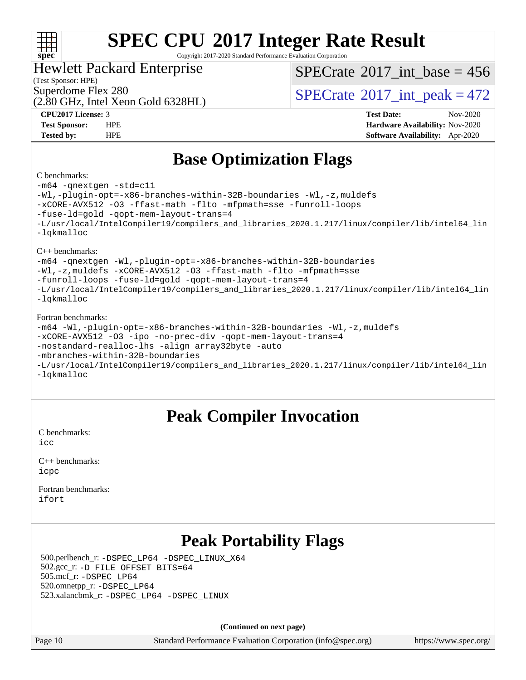#### $+\ +$ **[spec](http://www.spec.org/)**

# **[SPEC CPU](http://www.spec.org/auto/cpu2017/Docs/result-fields.html#SPECCPU2017IntegerRateResult)[2017 Integer Rate Result](http://www.spec.org/auto/cpu2017/Docs/result-fields.html#SPECCPU2017IntegerRateResult)**

Copyright 2017-2020 Standard Performance Evaluation Corporation

#### Hewlett Packard Enterprise

(Test Sponsor: HPE)

 $SPECTate$ <sup>®</sup>[2017\\_int\\_base =](http://www.spec.org/auto/cpu2017/Docs/result-fields.html#SPECrate2017intbase) 456

(2.80 GHz, Intel Xeon Gold 6328HL)

Superdome Flex 280<br>  $\text{SPECTate}^{\circ}2017\_int\_peak = 472$ 

**[CPU2017 License:](http://www.spec.org/auto/cpu2017/Docs/result-fields.html#CPU2017License)** 3 **[Test Date:](http://www.spec.org/auto/cpu2017/Docs/result-fields.html#TestDate)** Nov-2020 **[Test Sponsor:](http://www.spec.org/auto/cpu2017/Docs/result-fields.html#TestSponsor)** HPE **[Hardware Availability:](http://www.spec.org/auto/cpu2017/Docs/result-fields.html#HardwareAvailability)** Nov-2020 **[Tested by:](http://www.spec.org/auto/cpu2017/Docs/result-fields.html#Testedby)** HPE **[Software Availability:](http://www.spec.org/auto/cpu2017/Docs/result-fields.html#SoftwareAvailability)** Apr-2020

### **[Base Optimization Flags](http://www.spec.org/auto/cpu2017/Docs/result-fields.html#BaseOptimizationFlags)**

#### [C benchmarks](http://www.spec.org/auto/cpu2017/Docs/result-fields.html#Cbenchmarks):

[-m64](http://www.spec.org/cpu2017/results/res2020q4/cpu2017-20201207-24501.flags.html#user_CCbase_m64-icc) [-qnextgen](http://www.spec.org/cpu2017/results/res2020q4/cpu2017-20201207-24501.flags.html#user_CCbase_f-qnextgen) [-std=c11](http://www.spec.org/cpu2017/results/res2020q4/cpu2017-20201207-24501.flags.html#user_CCbase_std-icc-std_0e1c27790398a4642dfca32ffe6c27b5796f9c2d2676156f2e42c9c44eaad0c049b1cdb667a270c34d979996257aeb8fc440bfb01818dbc9357bd9d174cb8524) [-Wl,-plugin-opt=-x86-branches-within-32B-boundaries](http://www.spec.org/cpu2017/results/res2020q4/cpu2017-20201207-24501.flags.html#user_CCbase_f-x86-branches-within-32B-boundaries_0098b4e4317ae60947b7b728078a624952a08ac37a3c797dfb4ffeb399e0c61a9dd0f2f44ce917e9361fb9076ccb15e7824594512dd315205382d84209e912f3) [-Wl,-z,muldefs](http://www.spec.org/cpu2017/results/res2020q4/cpu2017-20201207-24501.flags.html#user_CCbase_link_force_multiple1_b4cbdb97b34bdee9ceefcfe54f4c8ea74255f0b02a4b23e853cdb0e18eb4525ac79b5a88067c842dd0ee6996c24547a27a4b99331201badda8798ef8a743f577) [-xCORE-AVX512](http://www.spec.org/cpu2017/results/res2020q4/cpu2017-20201207-24501.flags.html#user_CCbase_f-xCORE-AVX512) [-O3](http://www.spec.org/cpu2017/results/res2020q4/cpu2017-20201207-24501.flags.html#user_CCbase_f-O3) [-ffast-math](http://www.spec.org/cpu2017/results/res2020q4/cpu2017-20201207-24501.flags.html#user_CCbase_f-ffast-math) [-flto](http://www.spec.org/cpu2017/results/res2020q4/cpu2017-20201207-24501.flags.html#user_CCbase_f-flto) [-mfpmath=sse](http://www.spec.org/cpu2017/results/res2020q4/cpu2017-20201207-24501.flags.html#user_CCbase_f-mfpmath_70eb8fac26bde974f8ab713bc9086c5621c0b8d2f6c86f38af0bd7062540daf19db5f3a066d8c6684be05d84c9b6322eb3b5be6619d967835195b93d6c02afa1) [-funroll-loops](http://www.spec.org/cpu2017/results/res2020q4/cpu2017-20201207-24501.flags.html#user_CCbase_f-funroll-loops) [-fuse-ld=gold](http://www.spec.org/cpu2017/results/res2020q4/cpu2017-20201207-24501.flags.html#user_CCbase_f-fuse-ld_920b3586e2b8c6e0748b9c84fa9b744736ba725a32cab14ad8f3d4ad28eecb2f59d1144823d2e17006539a88734fe1fc08fc3035f7676166309105a78aaabc32) [-qopt-mem-layout-trans=4](http://www.spec.org/cpu2017/results/res2020q4/cpu2017-20201207-24501.flags.html#user_CCbase_f-qopt-mem-layout-trans_fa39e755916c150a61361b7846f310bcdf6f04e385ef281cadf3647acec3f0ae266d1a1d22d972a7087a248fd4e6ca390a3634700869573d231a252c784941a8) [-L/usr/local/IntelCompiler19/compilers\\_and\\_libraries\\_2020.1.217/linux/compiler/lib/intel64\\_lin](http://www.spec.org/cpu2017/results/res2020q4/cpu2017-20201207-24501.flags.html#user_CCbase_linkpath_2cb6f503891ebf8baee7515f4e7d4ec1217444d1d05903cc0091ac4158de400651d2b2313a9fa414cb8a8f0e16ab029634f5c6db340f400369c190d4db8a54a0) [-lqkmalloc](http://www.spec.org/cpu2017/results/res2020q4/cpu2017-20201207-24501.flags.html#user_CCbase_qkmalloc_link_lib_79a818439969f771c6bc311cfd333c00fc099dad35c030f5aab9dda831713d2015205805422f83de8875488a2991c0a156aaa600e1f9138f8fc37004abc96dc5) [C++ benchmarks](http://www.spec.org/auto/cpu2017/Docs/result-fields.html#CXXbenchmarks): [-m64](http://www.spec.org/cpu2017/results/res2020q4/cpu2017-20201207-24501.flags.html#user_CXXbase_m64-icc) [-qnextgen](http://www.spec.org/cpu2017/results/res2020q4/cpu2017-20201207-24501.flags.html#user_CXXbase_f-qnextgen) [-Wl,-plugin-opt=-x86-branches-within-32B-boundaries](http://www.spec.org/cpu2017/results/res2020q4/cpu2017-20201207-24501.flags.html#user_CXXbase_f-x86-branches-within-32B-boundaries_0098b4e4317ae60947b7b728078a624952a08ac37a3c797dfb4ffeb399e0c61a9dd0f2f44ce917e9361fb9076ccb15e7824594512dd315205382d84209e912f3) [-Wl,-z,muldefs](http://www.spec.org/cpu2017/results/res2020q4/cpu2017-20201207-24501.flags.html#user_CXXbase_link_force_multiple1_b4cbdb97b34bdee9ceefcfe54f4c8ea74255f0b02a4b23e853cdb0e18eb4525ac79b5a88067c842dd0ee6996c24547a27a4b99331201badda8798ef8a743f577) [-xCORE-AVX512](http://www.spec.org/cpu2017/results/res2020q4/cpu2017-20201207-24501.flags.html#user_CXXbase_f-xCORE-AVX512) [-O3](http://www.spec.org/cpu2017/results/res2020q4/cpu2017-20201207-24501.flags.html#user_CXXbase_f-O3) [-ffast-math](http://www.spec.org/cpu2017/results/res2020q4/cpu2017-20201207-24501.flags.html#user_CXXbase_f-ffast-math) [-flto](http://www.spec.org/cpu2017/results/res2020q4/cpu2017-20201207-24501.flags.html#user_CXXbase_f-flto) [-mfpmath=sse](http://www.spec.org/cpu2017/results/res2020q4/cpu2017-20201207-24501.flags.html#user_CXXbase_f-mfpmath_70eb8fac26bde974f8ab713bc9086c5621c0b8d2f6c86f38af0bd7062540daf19db5f3a066d8c6684be05d84c9b6322eb3b5be6619d967835195b93d6c02afa1) [-funroll-loops](http://www.spec.org/cpu2017/results/res2020q4/cpu2017-20201207-24501.flags.html#user_CXXbase_f-funroll-loops) [-fuse-ld=gold](http://www.spec.org/cpu2017/results/res2020q4/cpu2017-20201207-24501.flags.html#user_CXXbase_f-fuse-ld_920b3586e2b8c6e0748b9c84fa9b744736ba725a32cab14ad8f3d4ad28eecb2f59d1144823d2e17006539a88734fe1fc08fc3035f7676166309105a78aaabc32) [-qopt-mem-layout-trans=4](http://www.spec.org/cpu2017/results/res2020q4/cpu2017-20201207-24501.flags.html#user_CXXbase_f-qopt-mem-layout-trans_fa39e755916c150a61361b7846f310bcdf6f04e385ef281cadf3647acec3f0ae266d1a1d22d972a7087a248fd4e6ca390a3634700869573d231a252c784941a8) [-L/usr/local/IntelCompiler19/compilers\\_and\\_libraries\\_2020.1.217/linux/compiler/lib/intel64\\_lin](http://www.spec.org/cpu2017/results/res2020q4/cpu2017-20201207-24501.flags.html#user_CXXbase_linkpath_2cb6f503891ebf8baee7515f4e7d4ec1217444d1d05903cc0091ac4158de400651d2b2313a9fa414cb8a8f0e16ab029634f5c6db340f400369c190d4db8a54a0) [-lqkmalloc](http://www.spec.org/cpu2017/results/res2020q4/cpu2017-20201207-24501.flags.html#user_CXXbase_qkmalloc_link_lib_79a818439969f771c6bc311cfd333c00fc099dad35c030f5aab9dda831713d2015205805422f83de8875488a2991c0a156aaa600e1f9138f8fc37004abc96dc5) [Fortran benchmarks](http://www.spec.org/auto/cpu2017/Docs/result-fields.html#Fortranbenchmarks): [-m64](http://www.spec.org/cpu2017/results/res2020q4/cpu2017-20201207-24501.flags.html#user_FCbase_m64-icc) [-Wl,-plugin-opt=-x86-branches-within-32B-boundaries](http://www.spec.org/cpu2017/results/res2020q4/cpu2017-20201207-24501.flags.html#user_FCbase_f-x86-branches-within-32B-boundaries_0098b4e4317ae60947b7b728078a624952a08ac37a3c797dfb4ffeb399e0c61a9dd0f2f44ce917e9361fb9076ccb15e7824594512dd315205382d84209e912f3) [-Wl,-z,muldefs](http://www.spec.org/cpu2017/results/res2020q4/cpu2017-20201207-24501.flags.html#user_FCbase_link_force_multiple1_b4cbdb97b34bdee9ceefcfe54f4c8ea74255f0b02a4b23e853cdb0e18eb4525ac79b5a88067c842dd0ee6996c24547a27a4b99331201badda8798ef8a743f577) [-xCORE-AVX512](http://www.spec.org/cpu2017/results/res2020q4/cpu2017-20201207-24501.flags.html#user_FCbase_f-xCORE-AVX512) [-O3](http://www.spec.org/cpu2017/results/res2020q4/cpu2017-20201207-24501.flags.html#user_FCbase_f-O3) [-ipo](http://www.spec.org/cpu2017/results/res2020q4/cpu2017-20201207-24501.flags.html#user_FCbase_f-ipo) [-no-prec-div](http://www.spec.org/cpu2017/results/res2020q4/cpu2017-20201207-24501.flags.html#user_FCbase_f-no-prec-div) [-qopt-mem-layout-trans=4](http://www.spec.org/cpu2017/results/res2020q4/cpu2017-20201207-24501.flags.html#user_FCbase_f-qopt-mem-layout-trans_fa39e755916c150a61361b7846f310bcdf6f04e385ef281cadf3647acec3f0ae266d1a1d22d972a7087a248fd4e6ca390a3634700869573d231a252c784941a8) [-nostandard-realloc-lhs](http://www.spec.org/cpu2017/results/res2020q4/cpu2017-20201207-24501.flags.html#user_FCbase_f_2003_std_realloc_82b4557e90729c0f113870c07e44d33d6f5a304b4f63d4c15d2d0f1fab99f5daaed73bdb9275d9ae411527f28b936061aa8b9c8f2d63842963b95c9dd6426b8a) [-align array32byte](http://www.spec.org/cpu2017/results/res2020q4/cpu2017-20201207-24501.flags.html#user_FCbase_align_array32byte_b982fe038af199962ba9a80c053b8342c548c85b40b8e86eb3cc33dee0d7986a4af373ac2d51c3f7cf710a18d62fdce2948f201cd044323541f22fc0fffc51b6) [-auto](http://www.spec.org/cpu2017/results/res2020q4/cpu2017-20201207-24501.flags.html#user_FCbase_f-auto) [-mbranches-within-32B-boundaries](http://www.spec.org/cpu2017/results/res2020q4/cpu2017-20201207-24501.flags.html#user_FCbase_f-mbranches-within-32B-boundaries)

[-L/usr/local/IntelCompiler19/compilers\\_and\\_libraries\\_2020.1.217/linux/compiler/lib/intel64\\_lin](http://www.spec.org/cpu2017/results/res2020q4/cpu2017-20201207-24501.flags.html#user_FCbase_linkpath_2cb6f503891ebf8baee7515f4e7d4ec1217444d1d05903cc0091ac4158de400651d2b2313a9fa414cb8a8f0e16ab029634f5c6db340f400369c190d4db8a54a0) [-lqkmalloc](http://www.spec.org/cpu2017/results/res2020q4/cpu2017-20201207-24501.flags.html#user_FCbase_qkmalloc_link_lib_79a818439969f771c6bc311cfd333c00fc099dad35c030f5aab9dda831713d2015205805422f83de8875488a2991c0a156aaa600e1f9138f8fc37004abc96dc5)

### **[Peak Compiler Invocation](http://www.spec.org/auto/cpu2017/Docs/result-fields.html#PeakCompilerInvocation)**

[C benchmarks](http://www.spec.org/auto/cpu2017/Docs/result-fields.html#Cbenchmarks):  $i$ cc

[C++ benchmarks:](http://www.spec.org/auto/cpu2017/Docs/result-fields.html#CXXbenchmarks) [icpc](http://www.spec.org/cpu2017/results/res2020q4/cpu2017-20201207-24501.flags.html#user_CXXpeak_intel_icpc_c510b6838c7f56d33e37e94d029a35b4a7bccf4766a728ee175e80a419847e808290a9b78be685c44ab727ea267ec2f070ec5dc83b407c0218cded6866a35d07)

[Fortran benchmarks](http://www.spec.org/auto/cpu2017/Docs/result-fields.html#Fortranbenchmarks): [ifort](http://www.spec.org/cpu2017/results/res2020q4/cpu2017-20201207-24501.flags.html#user_FCpeak_intel_ifort_8111460550e3ca792625aed983ce982f94888b8b503583aa7ba2b8303487b4d8a21a13e7191a45c5fd58ff318f48f9492884d4413fa793fd88dd292cad7027ca)

### **[Peak Portability Flags](http://www.spec.org/auto/cpu2017/Docs/result-fields.html#PeakPortabilityFlags)**

 500.perlbench\_r: [-DSPEC\\_LP64](http://www.spec.org/cpu2017/results/res2020q4/cpu2017-20201207-24501.flags.html#b500.perlbench_r_peakPORTABILITY_DSPEC_LP64) [-DSPEC\\_LINUX\\_X64](http://www.spec.org/cpu2017/results/res2020q4/cpu2017-20201207-24501.flags.html#b500.perlbench_r_peakCPORTABILITY_DSPEC_LINUX_X64) 502.gcc\_r: [-D\\_FILE\\_OFFSET\\_BITS=64](http://www.spec.org/cpu2017/results/res2020q4/cpu2017-20201207-24501.flags.html#user_peakPORTABILITY502_gcc_r_file_offset_bits_64_5ae949a99b284ddf4e95728d47cb0843d81b2eb0e18bdfe74bbf0f61d0b064f4bda2f10ea5eb90e1dcab0e84dbc592acfc5018bc955c18609f94ddb8d550002c) 505.mcf\_r: [-DSPEC\\_LP64](http://www.spec.org/cpu2017/results/res2020q4/cpu2017-20201207-24501.flags.html#suite_peakPORTABILITY505_mcf_r_DSPEC_LP64) 520.omnetpp\_r: [-DSPEC\\_LP64](http://www.spec.org/cpu2017/results/res2020q4/cpu2017-20201207-24501.flags.html#suite_peakPORTABILITY520_omnetpp_r_DSPEC_LP64) 523.xalancbmk\_r: [-DSPEC\\_LP64](http://www.spec.org/cpu2017/results/res2020q4/cpu2017-20201207-24501.flags.html#suite_peakPORTABILITY523_xalancbmk_r_DSPEC_LP64) [-DSPEC\\_LINUX](http://www.spec.org/cpu2017/results/res2020q4/cpu2017-20201207-24501.flags.html#b523.xalancbmk_r_peakCXXPORTABILITY_DSPEC_LINUX)

**(Continued on next page)**

Page 10 Standard Performance Evaluation Corporation [\(info@spec.org\)](mailto:info@spec.org) <https://www.spec.org/>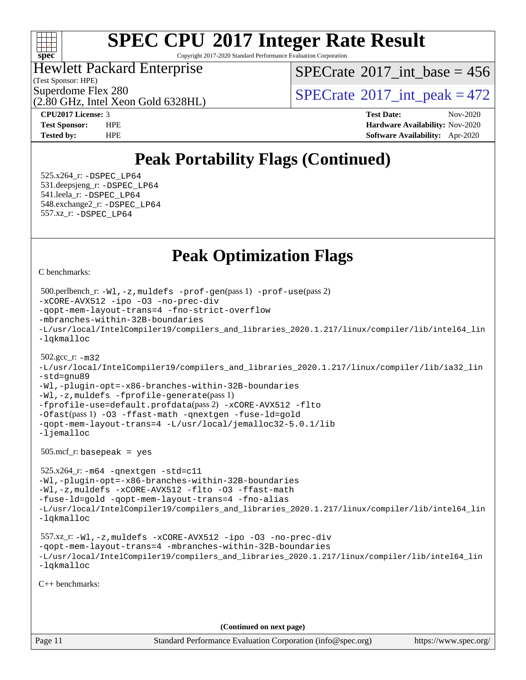

Copyright 2017-2020 Standard Performance Evaluation Corporation

Hewlett Packard Enterprise

(Test Sponsor: HPE)

(2.80 GHz, Intel Xeon Gold 6328HL)

 $SPECTate$ <sup>®</sup>[2017\\_int\\_base =](http://www.spec.org/auto/cpu2017/Docs/result-fields.html#SPECrate2017intbase) 456

Superdome Flex 280<br>  $\text{SPECTate}^{\circ}2017\_int\_peak = 472$ 

**[CPU2017 License:](http://www.spec.org/auto/cpu2017/Docs/result-fields.html#CPU2017License)** 3 **[Test Date:](http://www.spec.org/auto/cpu2017/Docs/result-fields.html#TestDate)** Nov-2020 **[Test Sponsor:](http://www.spec.org/auto/cpu2017/Docs/result-fields.html#TestSponsor)** HPE **[Hardware Availability:](http://www.spec.org/auto/cpu2017/Docs/result-fields.html#HardwareAvailability)** Nov-2020 **[Tested by:](http://www.spec.org/auto/cpu2017/Docs/result-fields.html#Testedby)** HPE **[Software Availability:](http://www.spec.org/auto/cpu2017/Docs/result-fields.html#SoftwareAvailability)** Apr-2020

### **[Peak Portability Flags \(Continued\)](http://www.spec.org/auto/cpu2017/Docs/result-fields.html#PeakPortabilityFlags)**

 525.x264\_r: [-DSPEC\\_LP64](http://www.spec.org/cpu2017/results/res2020q4/cpu2017-20201207-24501.flags.html#suite_peakPORTABILITY525_x264_r_DSPEC_LP64) 531.deepsjeng\_r: [-DSPEC\\_LP64](http://www.spec.org/cpu2017/results/res2020q4/cpu2017-20201207-24501.flags.html#suite_peakPORTABILITY531_deepsjeng_r_DSPEC_LP64) 541.leela\_r: [-DSPEC\\_LP64](http://www.spec.org/cpu2017/results/res2020q4/cpu2017-20201207-24501.flags.html#suite_peakPORTABILITY541_leela_r_DSPEC_LP64) 548.exchange2\_r: [-DSPEC\\_LP64](http://www.spec.org/cpu2017/results/res2020q4/cpu2017-20201207-24501.flags.html#suite_peakPORTABILITY548_exchange2_r_DSPEC_LP64) 557.xz\_r: [-DSPEC\\_LP64](http://www.spec.org/cpu2017/results/res2020q4/cpu2017-20201207-24501.flags.html#suite_peakPORTABILITY557_xz_r_DSPEC_LP64)

### **[Peak Optimization Flags](http://www.spec.org/auto/cpu2017/Docs/result-fields.html#PeakOptimizationFlags)**

[C benchmarks](http://www.spec.org/auto/cpu2017/Docs/result-fields.html#Cbenchmarks):

```
Page 11 Standard Performance Evaluation Corporation (info@spec.org) https://www.spec.org/
  500.perlbench_r: -Wl,-z,muldefs -prof-gen(pass 1) -prof-use(pass 2)
-xCORE-AVX512 -ipo -O3 -no-prec-div
-qopt-mem-layout-trans=4 -fno-strict-overflow
-mbranches-within-32B-boundaries
-L/usr/local/IntelCompiler19/compilers_and_libraries_2020.1.217/linux/compiler/lib/intel64_lin
-lqkmalloc
  502.gcc_r: -m32
-L/usr/local/IntelCompiler19/compilers_and_libraries_2020.1.217/linux/compiler/lib/ia32_lin
-std=gnu89
-Wl,-plugin-opt=-x86-branches-within-32B-boundaries
-Wl,-z,muldefs -fprofile-generate(pass 1)
-fprofile-use=default.profdata(pass 2) -xCORE-AVX512 -flto
-Ofast(pass 1) -O3 -ffast-math -qnextgen -fuse-ld=gold
-qopt-mem-layout-trans=4 -L/usr/local/jemalloc32-5.0.1/lib
-ljemalloc
  505.mcf_r: basepeak = yes
  525.x264_r: -m64 -qnextgen -std=c11
-Wl,-plugin-opt=-x86-branches-within-32B-boundaries
-Wl,-z,muldefs -xCORE-AVX512 -flto -O3 -ffast-math
-fuse-ld=gold -qopt-mem-layout-trans=4 -fno-alias
-L/usr/local/IntelCompiler19/compilers_and_libraries_2020.1.217/linux/compiler/lib/intel64_lin
-lqkmalloc
  557.xz_r: -Wl,-z,muldefs -xCORE-AVX512 -ipo -O3 -no-prec-div
-qopt-mem-layout-trans=4 -mbranches-within-32B-boundaries
-L/usr/local/IntelCompiler19/compilers_and_libraries_2020.1.217/linux/compiler/lib/intel64_lin
-lqkmalloc
C++ benchmarks: 
                                      (Continued on next page)
```